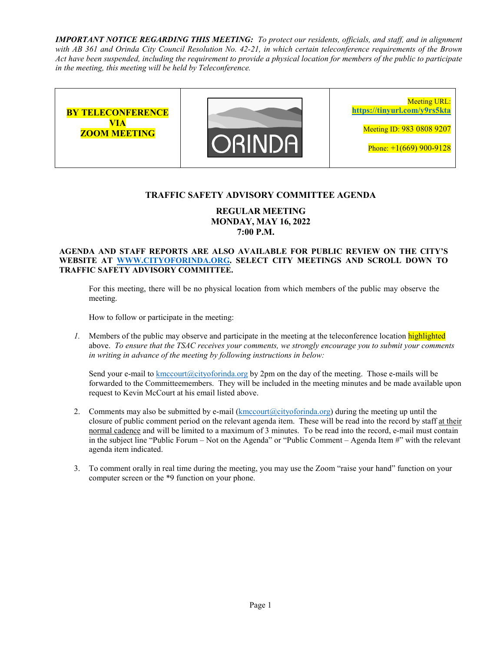*IMPORTANT NOTICE REGARDING THIS MEETING: To protect our residents, officials, and staff, and in alignment with AB 361 and Orinda City Council Resolution No. 42-21, in which certain teleconference requirements of the Brown Act have been suspended, including the requirement to provide a physical location for members of the public to participate in the meeting, this meeting will be held by Teleconference.* 



## **TRAFFIC SAFETY ADVISORY COMMITTEE AGENDA**

# **REGULAR MEETING MONDAY, MAY 16, 2022 7:00 P.M.**

#### **AGENDA AND STAFF REPORTS ARE ALSO AVAILABLE FOR PUBLIC REVIEW ON THE CITY'S WEBSITE AT WWW.CITYOFORINDA.ORG. SELECT CITY MEETINGS AND SCROLL DOWN TO TRAFFIC SAFETY ADVISORY COMMITTEE.**

For this meeting, there will be no physical location from which members of the public may observe the meeting.

How to follow or participate in the meeting:

*1.* Members of the public may observe and participate in the meeting at the teleconference location highlighted above. *To ensure that the TSAC receives your comments, we strongly encourage you to submit your comments in writing in advance of the meeting by following instructions in below:* 

Send your e-mail to kmccourt (a)cityoforinda.org by 2pm on the day of the meeting. Those e-mails will be forwarded to the Committeemembers. They will be included in the meeting minutes and be made available upon request to Kevin McCourt at his email listed above.

- 2. Comments may also be submitted by e-mail  $(kmccourt@cityoforida.org)$  during the meeting up until the closure of public comment period on the relevant agenda item. These will be read into the record by staff at their normal cadence and will be limited to a maximum of 3 minutes. To be read into the record, e-mail must contain in the subject line "Public Forum – Not on the Agenda" or "Public Comment – Agenda Item #" with the relevant agenda item indicated.
- 3. To comment orally in real time during the meeting, you may use the Zoom "raise your hand" function on your computer screen or the \*9 function on your phone.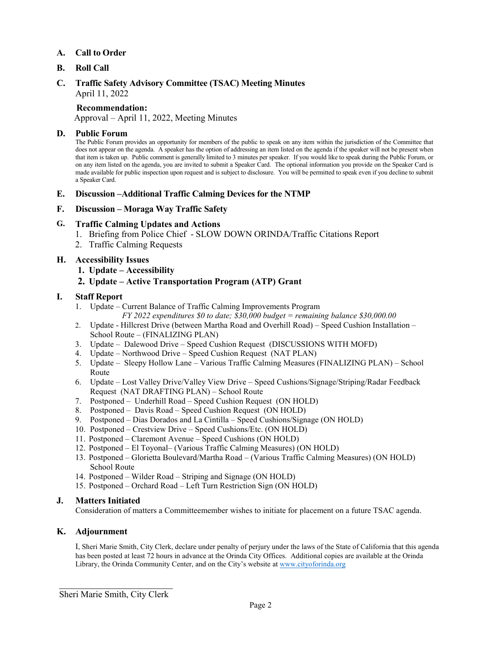### **A. Call to Order**

### **B. Roll Call**

#### **C. Traffic Safety Advisory Committee (TSAC) Meeting Minutes**  April 11, 2022

#### **Recommendation:**

Approval – April 11, 2022, Meeting Minutes

#### **D. Public Forum**

The Public Forum provides an opportunity for members of the public to speak on any item within the jurisdiction of the Committee that does not appear on the agenda. A speaker has the option of addressing an item listed on the agenda if the speaker will not be present when that item is taken up. Public comment is generally limited to 3 minutes per speaker. If you would like to speak during the Public Forum, or on any item listed on the agenda, you are invited to submit a Speaker Card. The optional information you provide on the Speaker Card is made available for public inspection upon request and is subject to disclosure. You will be permitted to speak even if you decline to submit a Speaker Card.

#### **E. Discussion –Additional Traffic Calming Devices for the NTMP**

#### **F. Discussion – Moraga Way Traffic Safety**

### **G. Traffic Calming Updates and Actions**

- 1. Briefing from Police Chief SLOW DOWN ORINDA/Traffic Citations Report
- 2. Traffic Calming Requests

### **H. Accessibility Issues**

**1. Update – Accessibility** 

### **2. Update – Active Transportation Program (ATP) Grant**

#### **I. Staff Report**

- 1. Update Current Balance of Traffic Calming Improvements Program
	- *FY 2022 expenditures \$0 to date; \$30,000 budget = remaining balance \$30,000.00*
- 2. Update Hillcrest Drive (between Martha Road and Overhill Road) Speed Cushion Installation School Route – (FINALIZING PLAN)
- 3. Update Dalewood Drive Speed Cushion Request (DISCUSSIONS WITH MOFD)
- 4. Update Northwood Drive Speed Cushion Request (NAT PLAN)
- 5. Update Sleepy Hollow Lane Various Traffic Calming Measures (FINALIZING PLAN) School Route
- 6. Update Lost Valley Drive/Valley View Drive Speed Cushions/Signage/Striping/Radar Feedback Request (NAT DRAFTING PLAN) – School Route
- 7. Postponed Underhill Road Speed Cushion Request (ON HOLD)
- 8. Postponed Davis Road Speed Cushion Request (ON HOLD)
- 9. Postponed Dias Dorados and La Cintilla Speed Cushions/Signage (ON HOLD)
- 10. Postponed Crestview Drive Speed Cushions/Etc. (ON HOLD)
- 11. Postponed Claremont Avenue Speed Cushions (ON HOLD)
- 12. Postponed El Toyonal– (Various Traffic Calming Measures) (ON HOLD)
- 13. Postponed Glorietta Boulevard/Martha Road (Various Traffic Calming Measures) (ON HOLD) School Route
- 14. Postponed Wilder Road Striping and Signage (ON HOLD)
- 15. Postponed Orchard Road Left Turn Restriction Sign (ON HOLD)

### **J. Matters Initiated**

Consideration of matters a Committeemember wishes to initiate for placement on a future TSAC agenda.

### **K. Adjournment**

I, Sheri Marie Smith, City Clerk, declare under penalty of perjury under the laws of the State of California that this agenda has been posted at least 72 hours in advance at the Orinda City Offices. Additional copies are available at the Orinda Library, the Orinda Community Center, and on the City's website at www.cityoforinda.org

 $\overline{\phantom{a}}$  , which is a set of the set of the set of the set of the set of the set of the set of the set of the set of the set of the set of the set of the set of the set of the set of the set of the set of the set of th Sheri Marie Smith, City Clerk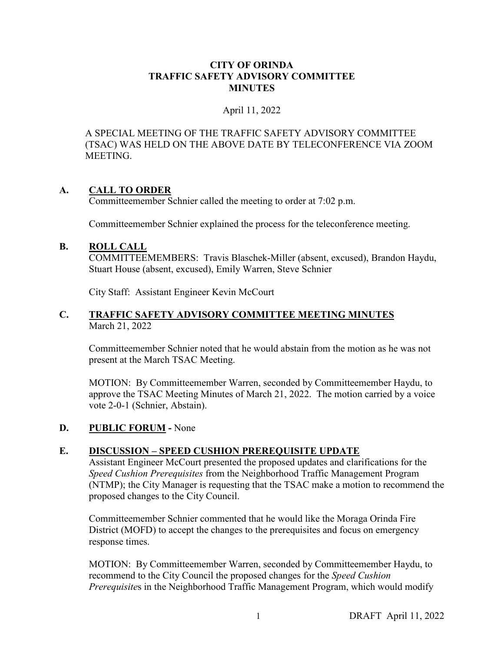# **CITY OF ORINDA TRAFFIC SAFETY ADVISORY COMMITTEE MINUTES**

# April 11, 2022

A SPECIAL MEETING OF THE TRAFFIC SAFETY ADVISORY COMMITTEE (TSAC) WAS HELD ON THE ABOVE DATE BY TELECONFERENCE VIA ZOOM MEETING.

# **A. CALL TO ORDER**

Committeemember Schnier called the meeting to order at 7:02 p.m.

Committeemember Schnier explained the process for the teleconference meeting.

# **B. ROLL CALL**

COMMITTEEMEMBERS: Travis Blaschek-Miller (absent, excused), Brandon Haydu, Stuart House (absent, excused), Emily Warren, Steve Schnier

City Staff: Assistant Engineer Kevin McCourt

# **C. TRAFFIC SAFETY ADVISORY COMMITTEE MEETING MINUTES** March 21, 2022

Committeemember Schnier noted that he would abstain from the motion as he was not present at the March TSAC Meeting.

MOTION: By Committeemember Warren, seconded by Committeemember Haydu, to approve the TSAC Meeting Minutes of March 21, 2022. The motion carried by a voice vote 2-0-1 (Schnier, Abstain).

# **D. PUBLIC FORUM -** None

# **E. DISCUSSION – SPEED CUSHION PREREQUISITE UPDATE**

Assistant Engineer McCourt presented the proposed updates and clarifications for the *Speed Cushion Prerequisites* from the Neighborhood Traffic Management Program (NTMP); the City Manager is requesting that the TSAC make a motion to recommend the proposed changes to the City Council.

Committeemember Schnier commented that he would like the Moraga Orinda Fire District (MOFD) to accept the changes to the prerequisites and focus on emergency response times.

MOTION: By Committeemember Warren, seconded by Committeemember Haydu, to recommend to the City Council the proposed changes for the *Speed Cushion Prerequisite*s in the Neighborhood Traffic Management Program, which would modify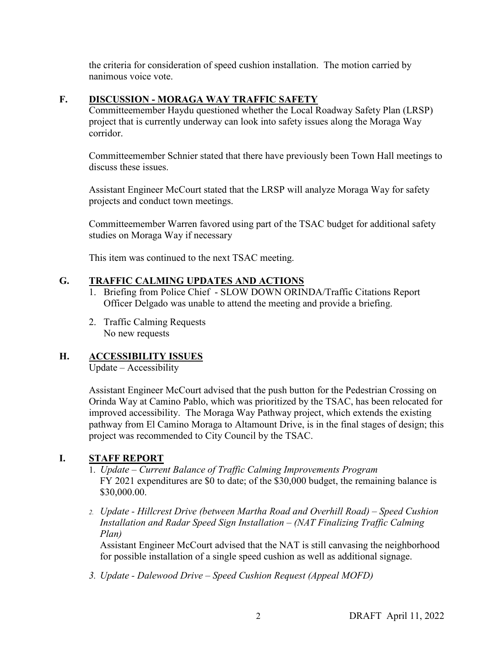the criteria for consideration of speed cushion installation. The motion carried by nanimous voice vote.

# **F. DISCUSSION - MORAGA WAY TRAFFIC SAFETY**

Committeemember Haydu questioned whether the Local Roadway Safety Plan (LRSP) project that is currently underway can look into safety issues along the Moraga Way corridor.

Committeemember Schnier stated that there have previously been Town Hall meetings to discuss these issues.

Assistant Engineer McCourt stated that the LRSP will analyze Moraga Way for safety projects and conduct town meetings.

Committeemember Warren favored using part of the TSAC budget for additional safety studies on Moraga Way if necessary

This item was continued to the next TSAC meeting.

# **G. TRAFFIC CALMING UPDATES AND ACTIONS**

- 1. Briefing from Police Chief SLOW DOWN ORINDA/Traffic Citations Report Officer Delgado was unable to attend the meeting and provide a briefing.
- 2. Traffic Calming Requests No new requests

# **H. ACCESSIBILITY ISSUES**

Update – Accessibility

 Assistant Engineer McCourt advised that the push button for the Pedestrian Crossing on Orinda Way at Camino Pablo, which was prioritized by the TSAC, has been relocated for improved accessibility. The Moraga Way Pathway project, which extends the existing pathway from El Camino Moraga to Altamount Drive, is in the final stages of design; this project was recommended to City Council by the TSAC.

# **I. STAFF REPORT**

- 1. *Update Current Balance of Traffic Calming Improvements Program* FY 2021 expenditures are \$0 to date; of the \$30,000 budget, the remaining balance is \$30,000.00.
- *2. Update Hillcrest Drive (between Martha Road and Overhill Road) Speed Cushion Installation and Radar Speed Sign Installation – (NAT Finalizing Traffic Calming Plan)*

Assistant Engineer McCourt advised that the NAT is still canvasing the neighborhood for possible installation of a single speed cushion as well as additional signage.

*3. Update - Dalewood Drive – Speed Cushion Request (Appeal MOFD)*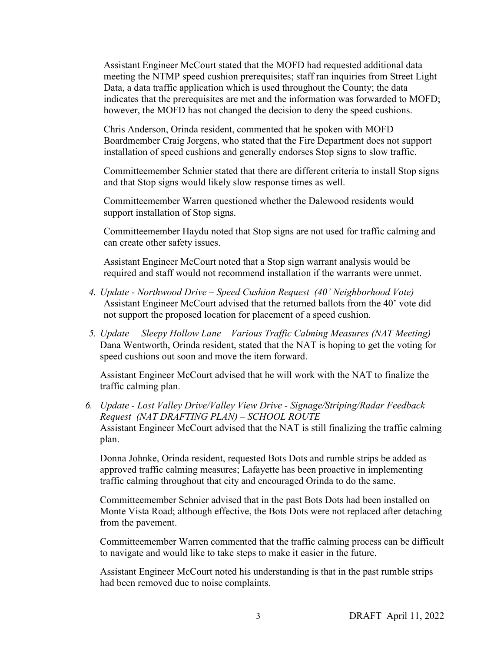Assistant Engineer McCourt stated that the MOFD had requested additional data meeting the NTMP speed cushion prerequisites; staff ran inquiries from Street Light Data, a data traffic application which is used throughout the County; the data indicates that the prerequisites are met and the information was forwarded to MOFD; however, the MOFD has not changed the decision to deny the speed cushions.

Chris Anderson, Orinda resident, commented that he spoken with MOFD Boardmember Craig Jorgens, who stated that the Fire Department does not support installation of speed cushions and generally endorses Stop signs to slow traffic.

Committeemember Schnier stated that there are different criteria to install Stop signs and that Stop signs would likely slow response times as well.

Committeemember Warren questioned whether the Dalewood residents would support installation of Stop signs.

Committeemember Haydu noted that Stop signs are not used for traffic calming and can create other safety issues.

Assistant Engineer McCourt noted that a Stop sign warrant analysis would be required and staff would not recommend installation if the warrants were unmet.

- *4. Update Northwood Drive Speed Cushion Request (40' Neighborhood Vote)*  Assistant Engineer McCourt advised that the returned ballots from the 40' vote did not support the proposed location for placement of a speed cushion.
- *5. Update Sleepy Hollow Lane Various Traffic Calming Measures (NAT Meeting)*  Dana Wentworth, Orinda resident, stated that the NAT is hoping to get the voting for speed cushions out soon and move the item forward.

Assistant Engineer McCourt advised that he will work with the NAT to finalize the traffic calming plan.

*6. Update - Lost Valley Drive/Valley View Drive - Signage/Striping/Radar Feedback Request (NAT DRAFTING PLAN) – SCHOOL ROUTE* Assistant Engineer McCourt advised that the NAT is still finalizing the traffic calming plan.

Donna Johnke, Orinda resident, requested Bots Dots and rumble strips be added as approved traffic calming measures; Lafayette has been proactive in implementing traffic calming throughout that city and encouraged Orinda to do the same.

Committeemember Schnier advised that in the past Bots Dots had been installed on Monte Vista Road; although effective, the Bots Dots were not replaced after detaching from the pavement.

Committeemember Warren commented that the traffic calming process can be difficult to navigate and would like to take steps to make it easier in the future.

Assistant Engineer McCourt noted his understanding is that in the past rumble strips had been removed due to noise complaints.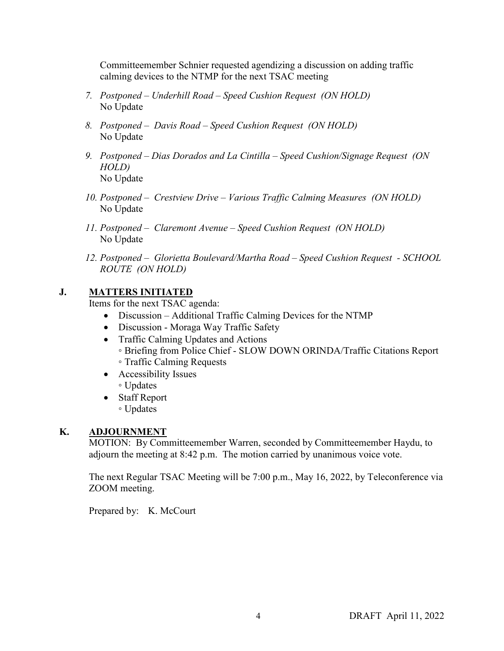Committeemember Schnier requested agendizing a discussion on adding traffic calming devices to the NTMP for the next TSAC meeting

- *7. Postponed Underhill Road Speed Cushion Request (ON HOLD)*  No Update
- *8. Postponed Davis Road Speed Cushion Request (ON HOLD)*  No Update
- *9. Postponed Dias Dorados and La Cintilla Speed Cushion/Signage Request (ON HOLD)*  No Update
- *10. Postponed Crestview Drive Various Traffic Calming Measures (ON HOLD)*  No Update
- *11. Postponed Claremont Avenue Speed Cushion Request (ON HOLD)*  No Update
- *12. Postponed Glorietta Boulevard/Martha Road Speed Cushion Request SCHOOL ROUTE (ON HOLD)*

# **J. MATTERS INITIATED**

Items for the next TSAC agenda:

- Discussion Additional Traffic Calming Devices for the NTMP
- Discussion Moraga Way Traffic Safety
- Traffic Calming Updates and Actions ◦ Briefing from Police Chief - SLOW DOWN ORINDA/Traffic Citations Report ◦ Traffic Calming Requests
- Accessibility Issues
	- Updates
- Staff Report ◦ Updates

# **K. ADJOURNMENT**

MOTION: By Committeemember Warren, seconded by Committeemember Haydu, to adjourn the meeting at 8:42 p.m. The motion carried by unanimous voice vote.

The next Regular TSAC Meeting will be 7:00 p.m., May 16, 2022, by Teleconference via ZOOM meeting.

Prepared by: K. McCourt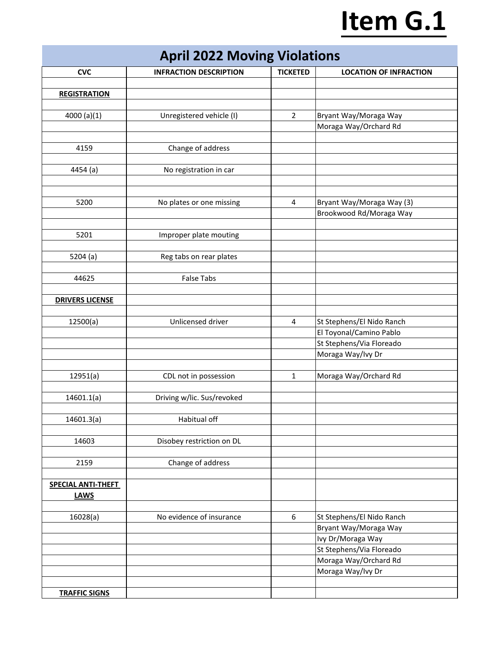# **Item G.1**

|  |  | <b>April 2022 Moving Violations</b> |  |  |
|--|--|-------------------------------------|--|--|
|--|--|-------------------------------------|--|--|

| <b>CVC</b>                | <b>INFRACTION DESCRIPTION</b> | <b>TICKETED</b>         | <b>LOCATION OF INFRACTION</b> |
|---------------------------|-------------------------------|-------------------------|-------------------------------|
|                           |                               |                         |                               |
| <b>REGISTRATION</b>       |                               |                         |                               |
|                           |                               |                         |                               |
| 4000 (a)(1)               | Unregistered vehicle (I)      | $\overline{2}$          | Bryant Way/Moraga Way         |
|                           |                               |                         | Moraga Way/Orchard Rd         |
|                           |                               |                         |                               |
| 4159                      | Change of address             |                         |                               |
|                           |                               |                         |                               |
| 4454 (a)                  | No registration in car        |                         |                               |
|                           |                               |                         |                               |
|                           |                               |                         |                               |
|                           |                               |                         |                               |
| 5200                      | No plates or one missing      | $\overline{\mathbf{4}}$ | Bryant Way/Moraga Way (3)     |
|                           |                               |                         | Brookwood Rd/Moraga Way       |
|                           |                               |                         |                               |
| 5201                      | Improper plate mouting        |                         |                               |
|                           |                               |                         |                               |
| 5204 (a)                  | Reg tabs on rear plates       |                         |                               |
|                           |                               |                         |                               |
| 44625                     | <b>False Tabs</b>             |                         |                               |
|                           |                               |                         |                               |
| <b>DRIVERS LICENSE</b>    |                               |                         |                               |
|                           |                               |                         |                               |
| 12500(a)                  | Unlicensed driver             | $\overline{\mathbf{4}}$ | St Stephens/El Nido Ranch     |
|                           |                               |                         | El Toyonal/Camino Pablo       |
|                           |                               |                         | St Stephens/Via Floreado      |
|                           |                               |                         | Moraga Way/Ivy Dr             |
|                           |                               |                         |                               |
|                           |                               |                         |                               |
| 12951(a)                  | CDL not in possession         | $\mathbf{1}$            | Moraga Way/Orchard Rd         |
|                           |                               |                         |                               |
| 14601.1(a)                | Driving w/lic. Sus/revoked    |                         |                               |
|                           |                               |                         |                               |
| 14601.3(a)                | Habitual off                  |                         |                               |
|                           |                               |                         |                               |
| 14603                     | Disobey restriction on DL     |                         |                               |
|                           |                               |                         |                               |
| 2159                      | Change of address             |                         |                               |
|                           |                               |                         |                               |
| <b>SPECIAL ANTI-THEFT</b> |                               |                         |                               |
| <b>LAWS</b>               |                               |                         |                               |
|                           |                               |                         |                               |
| 16028(a)                  | No evidence of insurance      | 6                       | St Stephens/El Nido Ranch     |
|                           |                               |                         | Bryant Way/Moraga Way         |
|                           |                               |                         | Ivy Dr/Moraga Way             |
|                           |                               |                         |                               |
|                           |                               |                         | St Stephens/Via Floreado      |
|                           |                               |                         | Moraga Way/Orchard Rd         |
|                           |                               |                         | Moraga Way/Ivy Dr             |
|                           |                               |                         |                               |
| <b>TRAFFIC SIGNS</b>      |                               |                         |                               |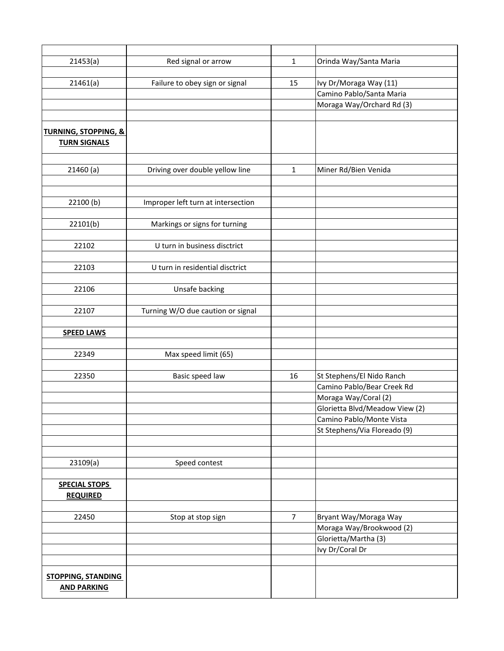| 21453(a)                        | Red signal or arrow                | $\mathbf{1}$   | Orinda Way/Santa Maria         |
|---------------------------------|------------------------------------|----------------|--------------------------------|
|                                 |                                    |                |                                |
| 21461(a)                        | Failure to obey sign or signal     | 15             | Ivy Dr/Moraga Way (11)         |
|                                 |                                    |                | Camino Pablo/Santa Maria       |
|                                 |                                    |                | Moraga Way/Orchard Rd (3)      |
|                                 |                                    |                |                                |
| <b>TURNING, STOPPING, &amp;</b> |                                    |                |                                |
| <b>TURN SIGNALS</b>             |                                    |                |                                |
|                                 |                                    |                |                                |
|                                 |                                    |                |                                |
| 21460(a)                        | Driving over double yellow line    | $\mathbf 1$    | Miner Rd/Bien Venida           |
|                                 |                                    |                |                                |
|                                 |                                    |                |                                |
| 22100(b)                        | Improper left turn at intersection |                |                                |
|                                 |                                    |                |                                |
| 22101(b)                        | Markings or signs for turning      |                |                                |
|                                 |                                    |                |                                |
| 22102                           | U turn in business disctrict       |                |                                |
|                                 |                                    |                |                                |
| 22103                           | U turn in residential disctrict    |                |                                |
|                                 |                                    |                |                                |
| 22106                           | Unsafe backing                     |                |                                |
|                                 |                                    |                |                                |
| 22107                           | Turning W/O due caution or signal  |                |                                |
|                                 |                                    |                |                                |
| <b>SPEED LAWS</b>               |                                    |                |                                |
|                                 |                                    |                |                                |
| 22349                           | Max speed limit (65)               |                |                                |
| 22350                           | Basic speed law                    | 16             | St Stephens/El Nido Ranch      |
|                                 |                                    |                | Camino Pablo/Bear Creek Rd     |
|                                 |                                    |                | Moraga Way/Coral (2)           |
|                                 |                                    |                | Glorietta Blvd/Meadow View (2) |
|                                 |                                    |                | Camino Pablo/Monte Vista       |
|                                 |                                    |                | St Stephens/Via Floreado (9)   |
|                                 |                                    |                |                                |
|                                 |                                    |                |                                |
| 23109(a)                        | Speed contest                      |                |                                |
|                                 |                                    |                |                                |
| <b>SPECIAL STOPS</b>            |                                    |                |                                |
| <b>REQUIRED</b>                 |                                    |                |                                |
|                                 |                                    |                |                                |
| 22450                           | Stop at stop sign                  | $\overline{7}$ | Bryant Way/Moraga Way          |
|                                 |                                    |                | Moraga Way/Brookwood (2)       |
|                                 |                                    |                | Glorietta/Martha (3)           |
|                                 |                                    |                | Ivy Dr/Coral Dr                |
|                                 |                                    |                |                                |
|                                 |                                    |                |                                |
| <b>STOPPING, STANDING</b>       |                                    |                |                                |
| <b>AND PARKING</b>              |                                    |                |                                |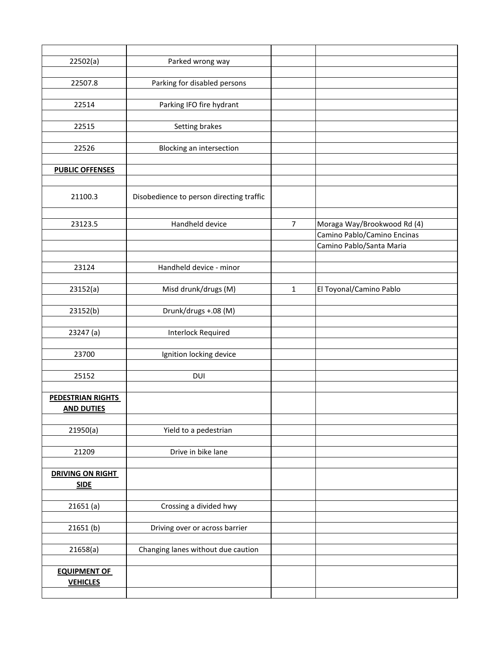| 22502(a)                                      | Parked wrong way                         |                |                             |
|-----------------------------------------------|------------------------------------------|----------------|-----------------------------|
|                                               |                                          |                |                             |
| 22507.8                                       | Parking for disabled persons             |                |                             |
|                                               |                                          |                |                             |
| 22514                                         | Parking IFO fire hydrant                 |                |                             |
|                                               |                                          |                |                             |
| 22515                                         | Setting brakes                           |                |                             |
|                                               |                                          |                |                             |
|                                               |                                          |                |                             |
| 22526                                         | Blocking an intersection                 |                |                             |
|                                               |                                          |                |                             |
| <b>PUBLIC OFFENSES</b>                        |                                          |                |                             |
|                                               |                                          |                |                             |
| 21100.3                                       | Disobedience to person directing traffic |                |                             |
|                                               |                                          |                |                             |
| 23123.5                                       | Handheld device                          | $\overline{7}$ | Moraga Way/Brookwood Rd (4) |
|                                               |                                          |                | Camino Pablo/Camino Encinas |
|                                               |                                          |                | Camino Pablo/Santa Maria    |
|                                               |                                          |                |                             |
| 23124                                         | Handheld device - minor                  |                |                             |
|                                               |                                          |                |                             |
| 23152(a)                                      | Misd drunk/drugs (M)                     | $\mathbf{1}$   | El Toyonal/Camino Pablo     |
|                                               |                                          |                |                             |
| 23152(b)                                      | Drunk/drugs +.08 (M)                     |                |                             |
|                                               |                                          |                |                             |
| 23247 (a)                                     | Interlock Required                       |                |                             |
|                                               |                                          |                |                             |
|                                               |                                          |                |                             |
| 23700                                         | Ignition locking device                  |                |                             |
|                                               |                                          |                |                             |
| 25152                                         | DUI                                      |                |                             |
|                                               |                                          |                |                             |
| <b>PEDESTRIAN RIGHTS</b><br><b>AND DUTIES</b> |                                          |                |                             |
|                                               |                                          |                |                             |
| 21950(a)                                      | Yield to a pedestrian                    |                |                             |
|                                               |                                          |                |                             |
| 21209                                         | Drive in bike lane                       |                |                             |
|                                               |                                          |                |                             |
| <b>DRIVING ON RIGHT</b>                       |                                          |                |                             |
| <b>SIDE</b>                                   |                                          |                |                             |
|                                               |                                          |                |                             |
| 21651(a)                                      | Crossing a divided hwy                   |                |                             |
|                                               |                                          |                |                             |
| 21651(b)                                      | Driving over or across barrier           |                |                             |
|                                               |                                          |                |                             |
| 21658(a)                                      | Changing lanes without due caution       |                |                             |
|                                               |                                          |                |                             |
| <b>EQUIPMENT OF</b>                           |                                          |                |                             |
|                                               |                                          |                |                             |
| <b>VEHICLES</b>                               |                                          |                |                             |
|                                               |                                          |                |                             |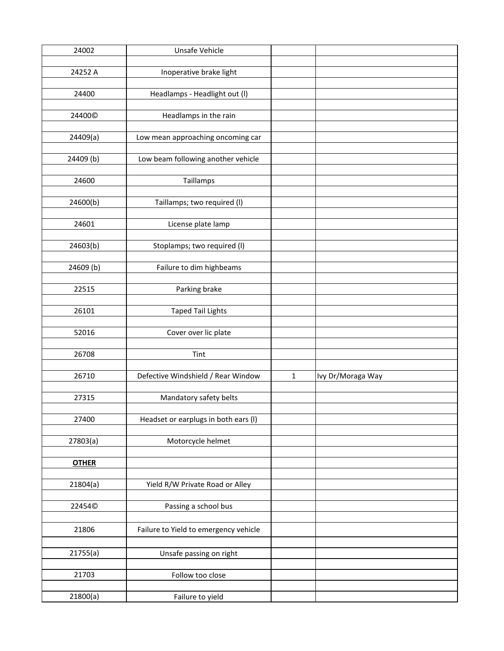| 24002              | Unsafe Vehicle                        |              |                   |
|--------------------|---------------------------------------|--------------|-------------------|
|                    |                                       |              |                   |
| 24252 A            | Inoperative brake light               |              |                   |
|                    |                                       |              |                   |
| 24400              | Headlamps - Headlight out (I)         |              |                   |
|                    |                                       |              |                   |
| 24400 <sup>©</sup> | Headlamps in the rain                 |              |                   |
|                    |                                       |              |                   |
| 24409(a)           | Low mean approaching oncoming car     |              |                   |
|                    |                                       |              |                   |
| 24409 (b)          | Low beam following another vehicle    |              |                   |
|                    |                                       |              |                   |
| 24600              | Taillamps                             |              |                   |
|                    |                                       |              |                   |
| 24600(b)           | Taillamps; two required (I)           |              |                   |
|                    |                                       |              |                   |
| 24601              | License plate lamp                    |              |                   |
|                    |                                       |              |                   |
| 24603(b)           | Stoplamps; two required (I)           |              |                   |
|                    |                                       |              |                   |
| 24609 (b)          | Failure to dim highbeams              |              |                   |
|                    |                                       |              |                   |
| 22515              | Parking brake                         |              |                   |
|                    |                                       |              |                   |
| 26101              | <b>Taped Tail Lights</b>              |              |                   |
|                    |                                       |              |                   |
| 52016              | Cover over lic plate                  |              |                   |
|                    |                                       |              |                   |
| 26708              | Tint                                  |              |                   |
|                    |                                       |              |                   |
| 26710              | Defective Windshield / Rear Window    | $\mathbf{1}$ | Ivy Dr/Moraga Way |
|                    |                                       |              |                   |
| 27315              | Mandatory safety belts                |              |                   |
|                    |                                       |              |                   |
| 27400              | Headset or earplugs in both ears (I)  |              |                   |
|                    |                                       |              |                   |
| 27803(a)           | Motorcycle helmet                     |              |                   |
|                    |                                       |              |                   |
| <b>OTHER</b>       |                                       |              |                   |
|                    |                                       |              |                   |
| 21804(a)           | Yield R/W Private Road or Alley       |              |                   |
|                    |                                       |              |                   |
| 22454©             |                                       |              |                   |
|                    | Passing a school bus                  |              |                   |
|                    |                                       |              |                   |
| 21806              | Failure to Yield to emergency vehicle |              |                   |
|                    |                                       |              |                   |
| 21755(a)           | Unsafe passing on right               |              |                   |
|                    |                                       |              |                   |
| 21703              | Follow too close                      |              |                   |
|                    |                                       |              |                   |
| 21800(a)           | Failure to yield                      |              |                   |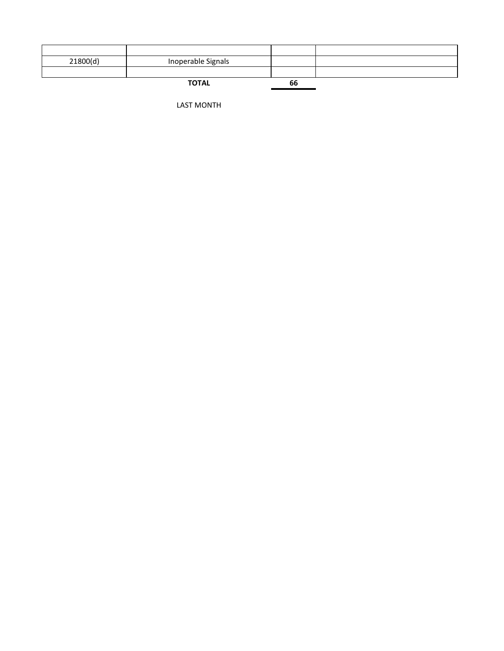| 21800(d) | Inoperable Signals |    |  |
|----------|--------------------|----|--|
|          |                    |    |  |
|          | <b>TOTAL</b>       | 66 |  |

LAST MONTH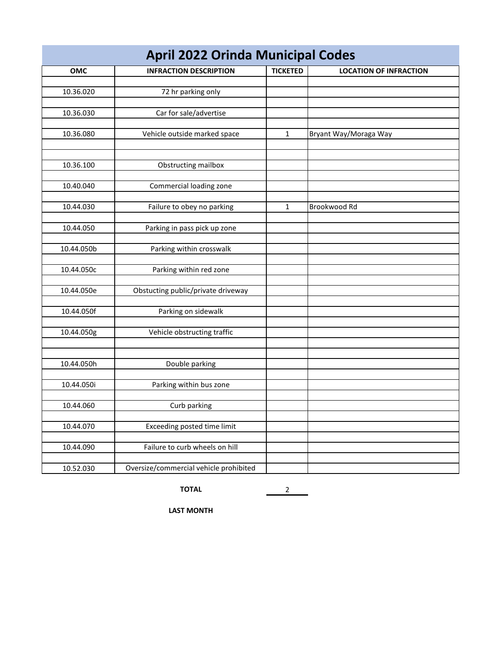| <b>April 2022 Orinda Municipal Codes</b> |                                        |                 |                               |  |
|------------------------------------------|----------------------------------------|-----------------|-------------------------------|--|
| OMC                                      | <b>INFRACTION DESCRIPTION</b>          | <b>TICKETED</b> | <b>LOCATION OF INFRACTION</b> |  |
| 10.36.020                                | 72 hr parking only                     |                 |                               |  |
|                                          |                                        |                 |                               |  |
| 10.36.030                                | Car for sale/advertise                 |                 |                               |  |
|                                          |                                        |                 |                               |  |
| 10.36.080                                | Vehicle outside marked space           | $\mathbf{1}$    | Bryant Way/Moraga Way         |  |
|                                          |                                        |                 |                               |  |
| 10.36.100                                | Obstructing mailbox                    |                 |                               |  |
|                                          |                                        |                 |                               |  |
| 10.40.040                                | Commercial loading zone                |                 |                               |  |
| 10.44.030                                | Failure to obey no parking             | $\mathbf{1}$    | Brookwood Rd                  |  |
|                                          |                                        |                 |                               |  |
| 10.44.050                                | Parking in pass pick up zone           |                 |                               |  |
| 10.44.050b                               | Parking within crosswalk               |                 |                               |  |
|                                          |                                        |                 |                               |  |
| 10.44.050c                               | Parking within red zone                |                 |                               |  |
|                                          |                                        |                 |                               |  |
| 10.44.050e                               | Obstucting public/private driveway     |                 |                               |  |
| 10.44.050f                               | Parking on sidewalk                    |                 |                               |  |
|                                          |                                        |                 |                               |  |
| 10.44.050g                               | Vehicle obstructing traffic            |                 |                               |  |
|                                          |                                        |                 |                               |  |
| 10.44.050h                               | Double parking                         |                 |                               |  |
|                                          |                                        |                 |                               |  |
| 10.44.050i                               | Parking within bus zone                |                 |                               |  |
|                                          |                                        |                 |                               |  |
| 10.44.060                                | Curb parking                           |                 |                               |  |
| 10.44.070                                | Exceeding posted time limit            |                 |                               |  |
|                                          |                                        |                 |                               |  |
| 10.44.090                                | Failure to curb wheels on hill         |                 |                               |  |
| 10.52.030                                | Oversize/commercial vehicle prohibited |                 |                               |  |

**TOTAL** 2

**LAST MONTH**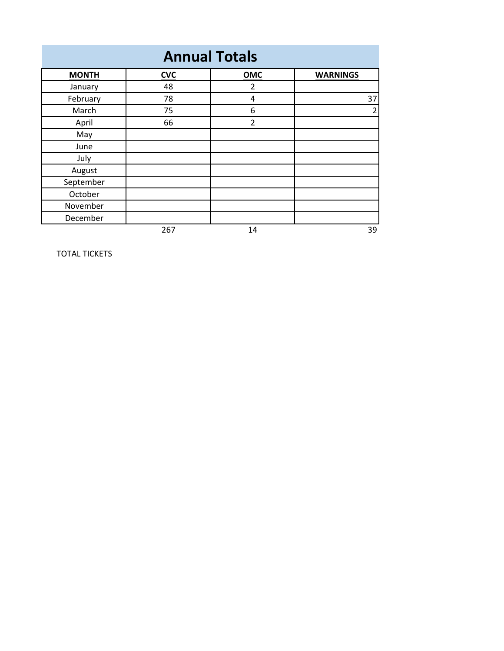| <b>Annual Totals</b> |            |                |                 |
|----------------------|------------|----------------|-----------------|
| <b>MONTH</b>         | <b>CVC</b> | OMC            | <b>WARNINGS</b> |
| January              | 48         | $\overline{2}$ |                 |
| February             | 78         | 4              | 37              |
| March                | 75         | 6              | $\overline{2}$  |
| April                | 66         | $\overline{2}$ |                 |
| May                  |            |                |                 |
| June                 |            |                |                 |
| July                 |            |                |                 |
| August               |            |                |                 |
| September            |            |                |                 |
| October              |            |                |                 |
| November             |            |                |                 |
| December             |            |                |                 |
|                      | 267        | 14             | 39              |

TOTAL TICKETS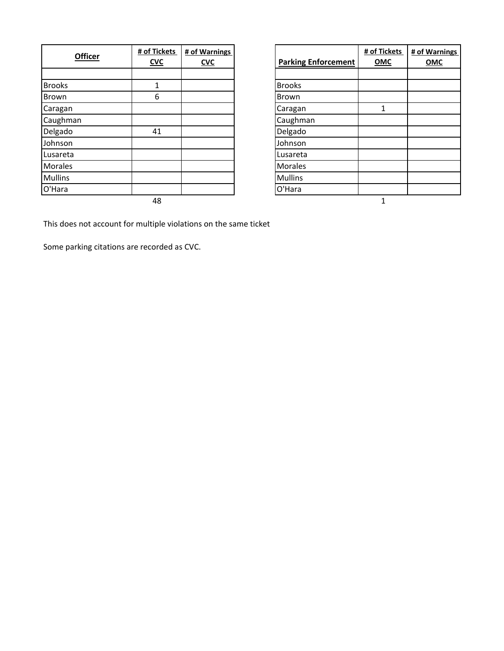| <b>Officer</b> | # of Tickets<br><b>CVC</b> | # of Warnings<br><u>CVC</u> | <b>Parking Enforcement</b> | # of Ti<br>$ON$ |
|----------------|----------------------------|-----------------------------|----------------------------|-----------------|
|                |                            |                             |                            |                 |
| <b>Brooks</b>  | 1                          |                             | <b>Brooks</b>              |                 |
| <b>Brown</b>   | 6                          |                             | Brown                      |                 |
| Caragan        |                            |                             | Caragan                    | 1               |
| Caughman       |                            |                             | Caughman                   |                 |
| Delgado        | 41                         |                             | Delgado                    |                 |
| Johnson        |                            |                             | Johnson                    |                 |
| Lusareta       |                            |                             | Lusareta                   |                 |
| <b>Morales</b> |                            |                             | <b>Morales</b>             |                 |
| <b>Mullins</b> |                            |                             | <b>Mullins</b>             |                 |
| O'Hara         |                            |                             | O'Hara                     |                 |
|                | 48                         |                             |                            |                 |

| <b>Narnings</b><br><u>CVC</u> | <b>Parking Enforcement</b> | # of Tickets<br>OMC | # of Warnings<br>OMC |
|-------------------------------|----------------------------|---------------------|----------------------|
|                               |                            |                     |                      |
|                               | <b>Brooks</b>              |                     |                      |
|                               | Brown                      |                     |                      |
|                               | Caragan                    | 1                   |                      |
|                               | Caughman                   |                     |                      |
|                               | Delgado                    |                     |                      |
|                               | Johnson                    |                     |                      |
|                               | Lusareta                   |                     |                      |
|                               | Morales                    |                     |                      |
|                               | <b>Mullins</b>             |                     |                      |
|                               | O'Hara                     |                     |                      |

This does not account for multiple violations on the same ticket

Some parking citations are recorded as CVC.